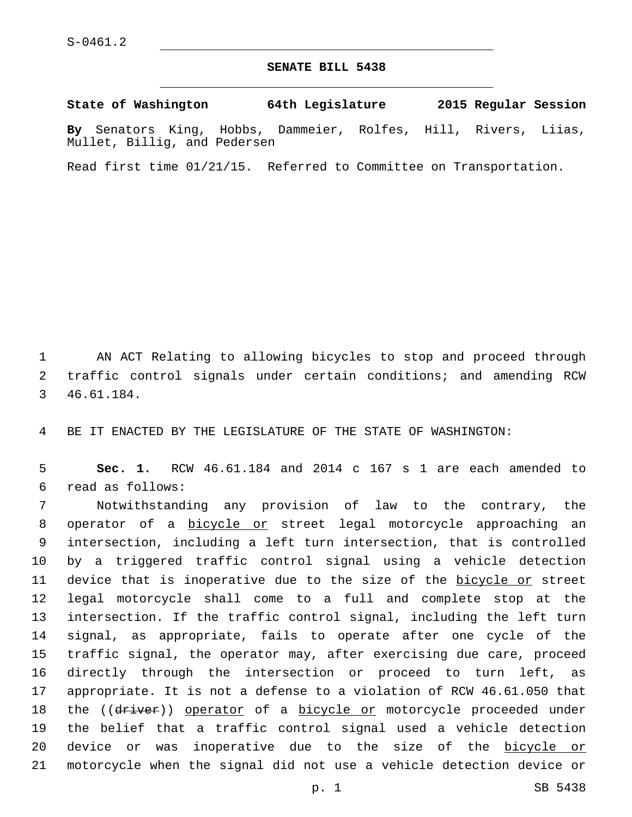## **SENATE BILL 5438**

**State of Washington 64th Legislature 2015 Regular Session By** Senators King, Hobbs, Dammeier, Rolfes, Hill, Rivers, Liias, Mullet, Billig, and Pedersen

Read first time 01/21/15. Referred to Committee on Transportation.

 AN ACT Relating to allowing bicycles to stop and proceed through traffic control signals under certain conditions; and amending RCW 46.61.184.3

BE IT ENACTED BY THE LEGISLATURE OF THE STATE OF WASHINGTON:

 **Sec. 1.** RCW 46.61.184 and 2014 c 167 s 1 are each amended to read as follows:6

 Notwithstanding any provision of law to the contrary, the operator of a bicycle or street legal motorcycle approaching an intersection, including a left turn intersection, that is controlled by a triggered traffic control signal using a vehicle detection 11 device that is inoperative due to the size of the bicycle or street legal motorcycle shall come to a full and complete stop at the intersection. If the traffic control signal, including the left turn signal, as appropriate, fails to operate after one cycle of the traffic signal, the operator may, after exercising due care, proceed directly through the intersection or proceed to turn left, as appropriate. It is not a defense to a violation of RCW 46.61.050 that 18 the ((driver)) operator of a bicycle or motorcycle proceeded under the belief that a traffic control signal used a vehicle detection device or was inoperative due to the size of the bicycle or motorcycle when the signal did not use a vehicle detection device or